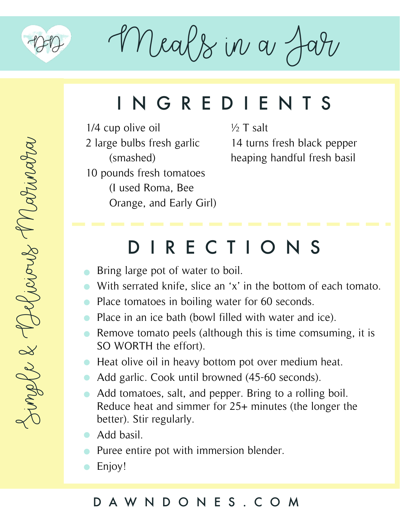

 $M$ eals in a

## INGREDIENTS

1/4 cup olive oil 2 large bulbs fresh garlic (smashed) 10 pounds fresh tomatoes (I used Roma, Bee Orange, and Early Girl)  $\frac{1}{2}$  T salt 14 turns fresh black pepper heaping handful fresh basil

### DIRECTIONS

- **Bring large pot of water to boil.**
- With serrated knife, slice an 'x' in the bottom of each tomato.  $\bullet$
- Place tomatoes in boiling water for 60 seconds.  $\bullet$
- Place in an ice bath (bowl filled with water and ice).  $\bullet$
- Remove tomato peels (although this is time comsuming, it is  $\bullet$ SO WORTH the effort).
- Heat olive oil in heavy bottom pot over medium heat.
- Add garlic. Cook until browned (45-60 seconds).  $\bullet$
- Add tomatoes, salt, and pepper. Bring to a rolling boil. Reduce heat and simmer for 25+ minutes (the longer the better). Stir regularly.
- Add basil.
- Puree entire pot with immersion blender.
- Enjoy!  $\bullet$

#### DAWNDONES.COM